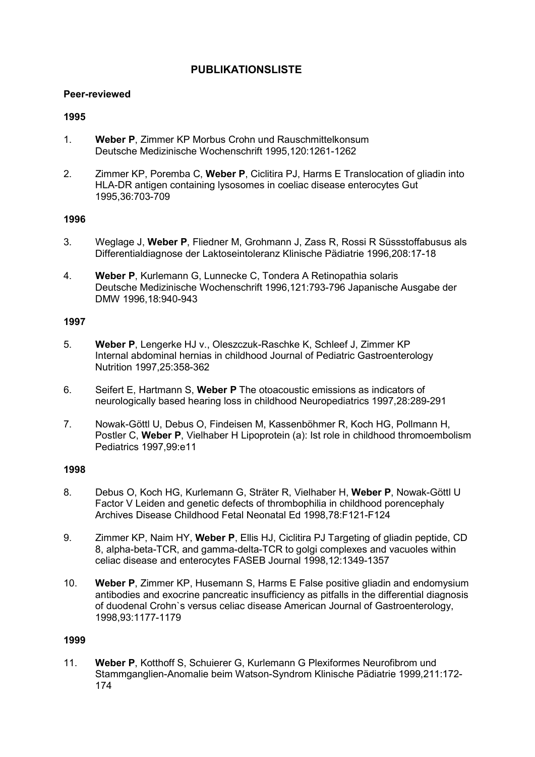# PUBLIKATIONSLISTE

#### Peer-reviewed

### 1995

- 1. Weber P, Zimmer KP Morbus Crohn und Rauschmittelkonsum Deutsche Medizinische Wochenschrift 1995,120:1261-1262
- 2. Zimmer KP, Poremba C, Weber P, Ciclitira PJ, Harms E Translocation of gliadin into HLA-DR antigen containing lysosomes in coeliac disease enterocytes Gut 1995,36:703-709

### 1996

- 3. Weglage J, Weber P, Fliedner M, Grohmann J, Zass R, Rossi R Süssstoffabusus als Differentialdiagnose der Laktoseintoleranz Klinische Pädiatrie 1996,208:17-18
- 4. Weber P, Kurlemann G, Lunnecke C, Tondera A Retinopathia solaris Deutsche Medizinische Wochenschrift 1996,121:793-796 Japanische Ausgabe der DMW 1996,18:940-943

### 1997

- 5. Weber P, Lengerke HJ v., Oleszczuk-Raschke K, Schleef J, Zimmer KP Internal abdominal hernias in childhood Journal of Pediatric Gastroenterology Nutrition 1997,25:358-362
- 6. Seifert E, Hartmann S, Weber P The otoacoustic emissions as indicators of neurologically based hearing loss in childhood Neuropediatrics 1997,28:289-291
- 7. Nowak-Göttl U, Debus O, Findeisen M, Kassenböhmer R, Koch HG, Pollmann H, Postler C, Weber P, Vielhaber H Lipoprotein (a): Ist role in childhood thromoembolism Pediatrics 1997,99:e11

### 1998

- 8. Debus O, Koch HG, Kurlemann G, Sträter R, Vielhaber H, Weber P, Nowak-Göttl U Factor V Leiden and genetic defects of thrombophilia in childhood porencephaly Archives Disease Childhood Fetal Neonatal Ed 1998,78:F121-F124
- 9. Zimmer KP, Naim HY, Weber P, Ellis HJ, Ciclitira PJ Targeting of gliadin peptide, CD 8, alpha-beta-TCR, and gamma-delta-TCR to golgi complexes and vacuoles within celiac disease and enterocytes FASEB Journal 1998,12:1349-1357
- 10. Weber P, Zimmer KP, Husemann S, Harms E False positive gliadin and endomysium antibodies and exocrine pancreatic insufficiency as pitfalls in the differential diagnosis of duodenal Crohn`s versus celiac disease American Journal of Gastroenterology, 1998,93:1177-1179

### 1999

11. Weber P, Kotthoff S, Schuierer G, Kurlemann G Plexiformes Neurofibrom und Stammganglien-Anomalie beim Watson-Syndrom Klinische Pädiatrie 1999,211:172- 174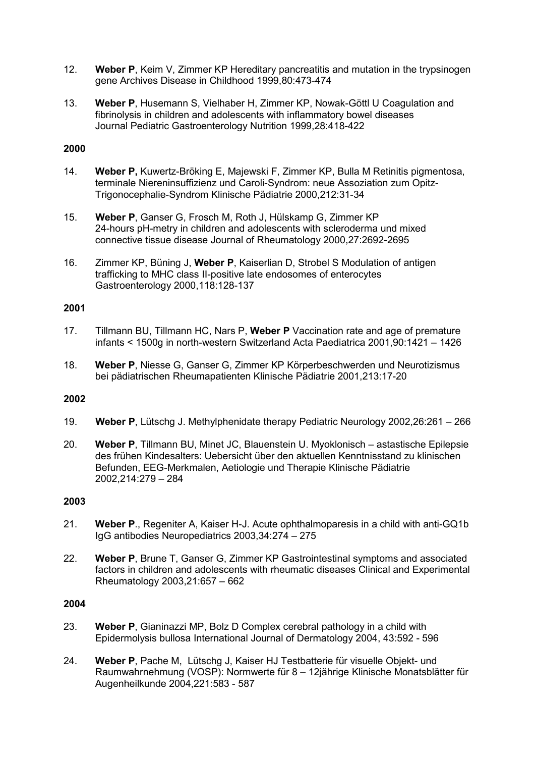- 12. Weber P, Keim V, Zimmer KP Hereditary pancreatitis and mutation in the trypsinogen gene Archives Disease in Childhood 1999,80:473-474
- 13. Weber P, Husemann S, Vielhaber H, Zimmer KP, Nowak-Göttl U Coagulation and fibrinolysis in children and adolescents with inflammatory bowel diseases Journal Pediatric Gastroenterology Nutrition 1999,28:418-422

- 14. Weber P, Kuwertz-Bröking E, Majewski F, Zimmer KP, Bulla M Retinitis pigmentosa, terminale Niereninsuffizienz und Caroli-Syndrom: neue Assoziation zum Opitz-Trigonocephalie-Syndrom Klinische Pädiatrie 2000,212:31-34
- 15. Weber P, Ganser G, Frosch M, Roth J, Hülskamp G, Zimmer KP 24-hours pH-metry in children and adolescents with scleroderma und mixed connective tissue disease Journal of Rheumatology 2000,27:2692-2695
- 16. Zimmer KP, Büning J, Weber P, Kaiserlian D, Strobel S Modulation of antigen trafficking to MHC class II-positive late endosomes of enterocytes Gastroenterology 2000,118:128-137

### 2001

- 17. Tillmann BU, Tillmann HC, Nars P, Weber P Vaccination rate and age of premature infants < 1500g in north-western Switzerland Acta Paediatrica 2001,90:1421 – 1426
- 18. Weber P, Niesse G, Ganser G, Zimmer KP Körperbeschwerden und Neurotizismus bei pädiatrischen Rheumapatienten Klinische Pädiatrie 2001,213:17-20

### 2002

- 19. Weber P, Lütschg J. Methylphenidate therapy Pediatric Neurology 2002,26:261 266
- 20. Weber P, Tillmann BU, Minet JC, Blauenstein U. Myoklonisch astastische Epilepsie des frühen Kindesalters: Uebersicht über den aktuellen Kenntnisstand zu klinischen Befunden, EEG-Merkmalen, Aetiologie und Therapie Klinische Pädiatrie 2002,214:279 – 284

#### 2003

- 21. Weber P., Regeniter A, Kaiser H-J. Acute ophthalmoparesis in a child with anti-GQ1b IgG antibodies Neuropediatrics 2003,34:274 – 275
- 22. Weber P, Brune T, Ganser G, Zimmer KP Gastrointestinal symptoms and associated factors in children and adolescents with rheumatic diseases Clinical and Experimental Rheumatology 2003,21:657 – 662

- 23. Weber P, Gianinazzi MP, Bolz D Complex cerebral pathology in a child with Epidermolysis bullosa International Journal of Dermatology 2004, 43:592 - 596
- 24. Weber P, Pache M, Lütschg J, Kaiser HJ Testbatterie für visuelle Objekt- und Raumwahrnehmung (VOSP): Normwerte für 8 – 12jährige Klinische Monatsblätter für Augenheilkunde 2004,221:583 - 587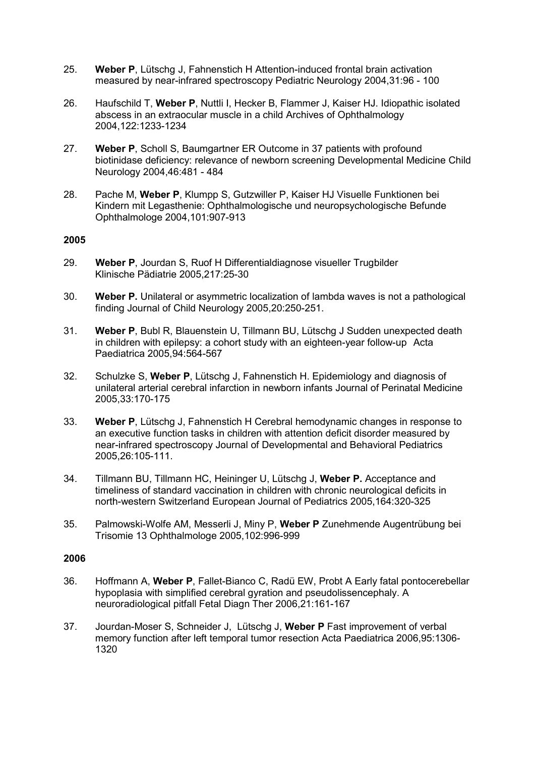- 25. Weber P, Lütschg J, Fahnenstich H Attention-induced frontal brain activation measured by near-infrared spectroscopy Pediatric Neurology 2004,31:96 - 100
- 26. Haufschild T, Weber P, Nuttli I, Hecker B, Flammer J, Kaiser HJ. Idiopathic isolated abscess in an extraocular muscle in a child Archives of Ophthalmology 2004,122:1233-1234
- 27. Weber P, Scholl S, Baumgartner ER Outcome in 37 patients with profound biotinidase deficiency: relevance of newborn screening Developmental Medicine Child Neurology 2004,46:481 - 484
- 28. Pache M, Weber P, Klumpp S, Gutzwiller P, Kaiser HJ Visuelle Funktionen bei Kindern mit Legasthenie: Ophthalmologische und neuropsychologische Befunde Ophthalmologe 2004,101:907-913

- 29. Weber P, Jourdan S, Ruof H Differentialdiagnose visueller Trugbilder Klinische Pädiatrie 2005,217:25-30
- 30. Weber P. Unilateral or asymmetric localization of lambda waves is not a pathological finding Journal of Child Neurology 2005,20:250-251.
- 31. Weber P, Bubl R, Blauenstein U, Tillmann BU, Lütschg J Sudden unexpected death in children with epilepsy: a cohort study with an eighteen-year follow-up Acta Paediatrica 2005,94:564-567
- 32. Schulzke S, Weber P, Lütschg J, Fahnenstich H. Epidemiology and diagnosis of unilateral arterial cerebral infarction in newborn infants Journal of Perinatal Medicine 2005,33:170-175
- 33. Weber P, Lütschg J, Fahnenstich H Cerebral hemodynamic changes in response to an executive function tasks in children with attention deficit disorder measured by near-infrared spectroscopy Journal of Developmental and Behavioral Pediatrics 2005,26:105-111.
- 34. Tillmann BU, Tillmann HC, Heininger U, Lütschg J, Weber P, Acceptance and timeliness of standard vaccination in children with chronic neurological deficits in north-western Switzerland European Journal of Pediatrics 2005,164:320-325
- 35. Palmowski-Wolfe AM, Messerli J, Miny P, Weber P Zunehmende Augentrübung bei Trisomie 13 Ophthalmologe 2005,102:996-999

- 36. Hoffmann A, Weber P, Fallet-Bianco C, Radü EW, Probt A Early fatal pontocerebellar hypoplasia with simplified cerebral gyration and pseudolissencephaly. A neuroradiological pitfall Fetal Diagn Ther 2006,21:161-167
- 37. Jourdan-Moser S, Schneider J, Lütschg J, Weber P Fast improvement of verbal memory function after left temporal tumor resection Acta Paediatrica 2006,95:1306- 1320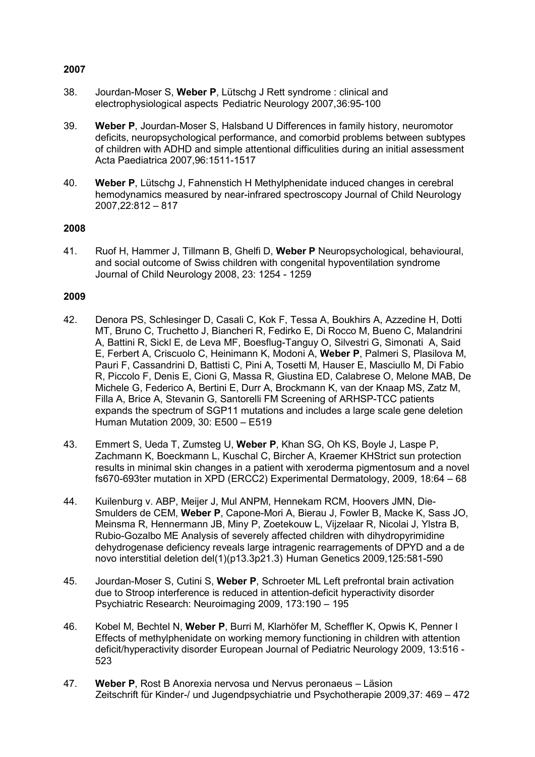- 38. Jourdan-Moser S, Weber P, Lütschg J Rett syndrome : clinical and electrophysiological aspects Pediatric Neurology 2007,36:95-100
- 39. Weber P, Jourdan-Moser S, Halsband U Differences in family history, neuromotor deficits, neuropsychological performance, and comorbid problems between subtypes of children with ADHD and simple attentional difficulities during an initial assessment Acta Paediatrica 2007,96:1511-1517
- 40. Weber P, Lütschg J, Fahnenstich H Methylphenidate induced changes in cerebral hemodynamics measured by near-infrared spectroscopy Journal of Child Neurology 2007,22:812 – 817

#### 2008

41. Ruof H, Hammer J, Tillmann B, Ghelfi D, Weber P Neuropsychological, behavioural, and social outcome of Swiss children with congenital hypoventilation syndrome Journal of Child Neurology 2008, 23: 1254 - 1259

- 42. Denora PS, Schlesinger D, Casali C, Kok F, Tessa A, Boukhirs A, Azzedine H, Dotti MT, Bruno C, Truchetto J, Biancheri R, Fedirko E, Di Rocco M, Bueno C, Malandrini A, Battini R, Sickl E, de Leva MF, Boesflug-Tanguy O, Silvestri G, Simonati A, Said E, Ferbert A, Criscuolo C, Heinimann K, Modoni A, Weber P, Palmeri S, Plasilova M, Pauri F, Cassandrini D, Battisti C, Pini A, Tosetti M, Hauser E, Masciullo M, Di Fabio R, Piccolo F, Denis E, Cioni G, Massa R, Giustina ED, Calabrese O, Melone MAB, De Michele G, Federico A, Bertini E, Durr A, Brockmann K, van der Knaap MS, Zatz M, Filla A, Brice A, Stevanin G, Santorelli FM Screening of ARHSP-TCC patients expands the spectrum of SGP11 mutations and includes a large scale gene deletion Human Mutation 2009, 30: E500 – E519
- 43. Emmert S, Ueda T, Zumsteg U, Weber P, Khan SG, Oh KS, Boyle J, Laspe P, Zachmann K, Boeckmann L, Kuschal C, Bircher A, Kraemer KHStrict sun protection results in minimal skin changes in a patient with xeroderma pigmentosum and a novel fs670-693ter mutation in XPD (ERCC2) Experimental Dermatology, 2009, 18:64 – 68
- 44. Kuilenburg v. ABP, Meijer J, Mul ANPM, Hennekam RCM, Hoovers JMN, Die-Smulders de CEM, Weber P, Capone-Mori A, Bierau J, Fowler B, Macke K, Sass JO, Meinsma R, Hennermann JB, Miny P, Zoetekouw L, Vijzelaar R, Nicolai J, Ylstra B, Rubio-Gozalbo ME Analysis of severely affected children with dihydropyrimidine dehydrogenase deficiency reveals large intragenic rearragements of DPYD and a de novo interstitial deletion del(1)(p13.3p21.3) Human Genetics 2009,125:581-590
- 45. Jourdan-Moser S, Cutini S, Weber P, Schroeter ML Left prefrontal brain activation due to Stroop interference is reduced in attention-deficit hyperactivity disorder Psychiatric Research: Neuroimaging 2009, 173:190 – 195
- 46. Kobel M, Bechtel N, Weber P, Burri M, Klarhöfer M, Scheffler K, Opwis K, Penner I Effects of methylphenidate on working memory functioning in children with attention deficit/hyperactivity disorder European Journal of Pediatric Neurology 2009, 13:516 - 523
- 47. Weber P, Rost B Anorexia nervosa und Nervus peronaeus Läsion Zeitschrift für Kinder-/ und Jugendpsychiatrie und Psychotherapie 2009,37: 469 – 472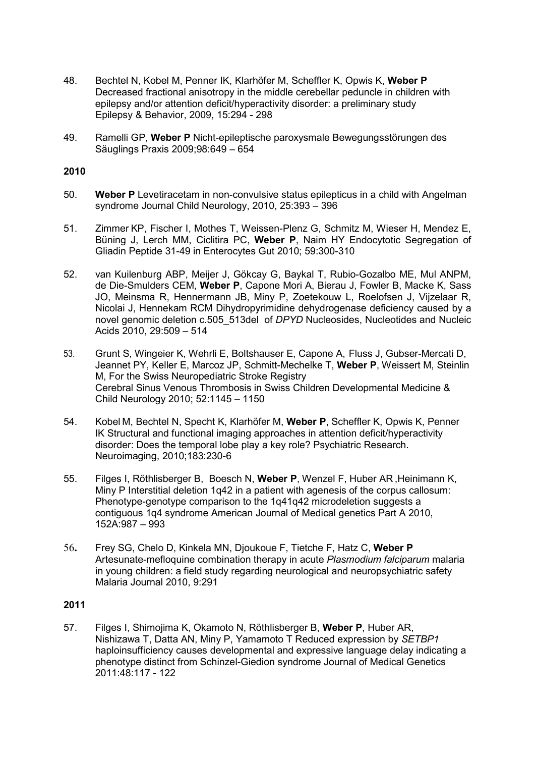- 48. Bechtel N, Kobel M, Penner IK, Klarhöfer M, Scheffler K, Opwis K, Weber P Decreased fractional anisotropy in the middle cerebellar peduncle in children with epilepsy and/or attention deficit/hyperactivity disorder: a preliminary study Epilepsy & Behavior, 2009, 15:294 - 298
- 49. Ramelli GP, Weber P Nicht-epileptische paroxysmale Bewegungsstörungen des Säuglings Praxis 2009;98:649 – 654

- 50. Weber P Levetiracetam in non-convulsive status epilepticus in a child with Angelman syndrome Journal Child Neurology, 2010, 25:393 – 396
- 51. Zimmer KP, Fischer I, Mothes T, Weissen-Plenz G, Schmitz M, Wieser H, Mendez E, Büning J, Lerch MM, Ciclitira PC, Weber P, Naim HY Endocytotic Segregation of Gliadin Peptide 31-49 in Enterocytes Gut 2010; 59:300-310
- 52. van Kuilenburg ABP, Meijer J, Gökcay G, Baykal T, Rubio-Gozalbo ME, Mul ANPM, de Die-Smulders CEM, Weber P, Capone Mori A, Bierau J, Fowler B, Macke K, Sass JO, Meinsma R, Hennermann JB, Miny P, Zoetekouw L, Roelofsen J, Vijzelaar R, Nicolai J, Hennekam RCM Dihydropyrimidine dehydrogenase deficiency caused by a novel genomic deletion c.505\_513del of DPYD Nucleosides, Nucleotides and Nucleic Acids 2010, 29:509 – 514
- 53. Grunt S, Wingeier K, Wehrli E, Boltshauser E, Capone A, Fluss J, Gubser-Mercati D, Jeannet PY, Keller E, Marcoz JP, Schmitt-Mechelke T, Weber P, Weissert M, Steinlin M, For the Swiss Neuropediatric Stroke Registry Cerebral Sinus Venous Thrombosis in Swiss Children Developmental Medicine & Child Neurology 2010; 52:1145 – 1150
- 54. Kobel M, Bechtel N, Specht K, Klarhöfer M, Weber P, Scheffler K, Opwis K, Penner IK Structural and functional imaging approaches in attention deficit/hyperactivity disorder: Does the temporal lobe play a key role? Psychiatric Research. Neuroimaging, 2010;183:230-6
- 55. Filges I, Röthlisberger B, Boesch N, Weber P, Wenzel F, Huber AR ,Heinimann K, Miny P Interstitial deletion 1q42 in a patient with agenesis of the corpus callosum: Phenotype-genotype comparison to the 1g41g42 microdeletion suggests a contiguous 1q4 syndrome American Journal of Medical genetics Part A 2010, 152A:987 – 993
- 56. Frey SG, Chelo D, Kinkela MN, Djoukoue F, Tietche F, Hatz C, Weber P Artesunate-mefloquine combination therapy in acute Plasmodium falciparum malaria in young children: a field study regarding neurological and neuropsychiatric safety Malaria Journal 2010, 9:291

# 2011

57. Filges I, Shimojima K, Okamoto N, Röthlisberger B, Weber P, Huber AR, Nishizawa T, Datta AN, Miny P, Yamamoto T Reduced expression by SETBP1 haploinsufficiency causes developmental and expressive language delay indicating a phenotype distinct from Schinzel-Giedion syndrome Journal of Medical Genetics 2011:48:117 - 122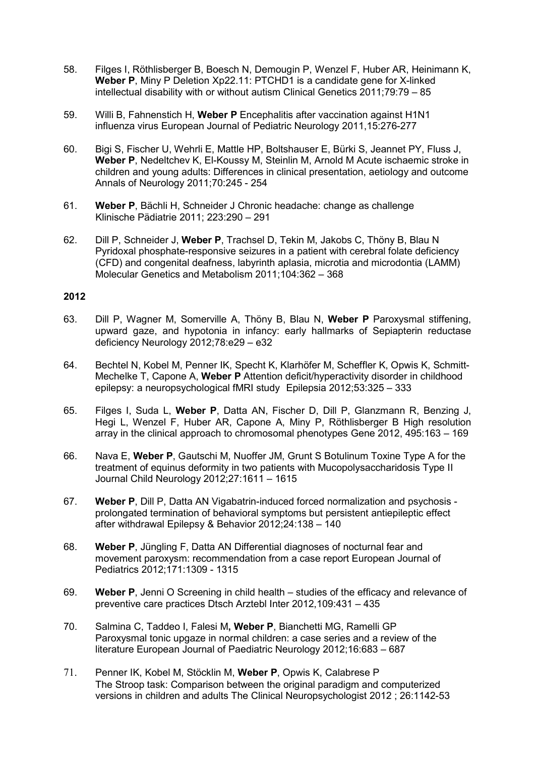- 58. Filges I, Röthlisberger B, Boesch N, Demougin P, Wenzel F, Huber AR, Heinimann K, Weber P, Miny P Deletion Xp22.11: PTCHD1 is a candidate gene for X-linked intellectual disability with or without autism Clinical Genetics 2011;79:79 – 85
- 59. Willi B, Fahnenstich H, Weber P Encephalitis after vaccination against H1N1 influenza virus European Journal of Pediatric Neurology 2011,15:276-277
- 60. Bigi S, Fischer U, Wehrli E, Mattle HP, Boltshauser E, Bürki S, Jeannet PY, Fluss J, Weber P, Nedeltchev K, El-Koussy M, Steinlin M, Arnold M Acute ischaemic stroke in children and young adults: Differences in clinical presentation, aetiology and outcome Annals of Neurology 2011;70:245 - 254
- 61. Weber P, Bächli H, Schneider J Chronic headache: change as challenge Klinische Pädiatrie 2011; 223:290 – 291
- 62. Dill P, Schneider J, Weber P, Trachsel D, Tekin M, Jakobs C, Thöny B, Blau N Pyridoxal phosphate-responsive seizures in a patient with cerebral folate deficiency (CFD) and congenital deafness, labyrinth aplasia, microtia and microdontia (LAMM) Molecular Genetics and Metabolism 2011;104:362 – 368

- 63. Dill P, Wagner M, Somerville A, Thöny B, Blau N, Weber P Paroxysmal stiffening, upward gaze, and hypotonia in infancy: early hallmarks of Sepiapterin reductase deficiency Neurology 2012;78:e29 – e32
- 64. Bechtel N, Kobel M, Penner IK, Specht K, Klarhöfer M, Scheffler K, Opwis K, Schmitt-Mechelke T, Capone A, Weber P Attention deficit/hyperactivity disorder in childhood epilepsy: a neuropsychological fMRI study Epilepsia 2012;53:325 – 333
- 65. Filges I, Suda L, Weber P, Datta AN, Fischer D, Dill P, Glanzmann R, Benzing J, Hegi L, Wenzel F, Huber AR, Capone A, Miny P, Röthlisberger B High resolution array in the clinical approach to chromosomal phenotypes Gene 2012, 495:163 – 169
- 66. Nava E, Weber P, Gautschi M, Nuoffer JM, Grunt S Botulinum Toxine Type A for the treatment of equinus deformity in two patients with Mucopolysaccharidosis Type II Journal Child Neurology 2012;27:1611 – 1615
- 67. Weber P, Dill P, Datta AN Vigabatrin-induced forced normalization and psychosis prolongated termination of behavioral symptoms but persistent antiepileptic effect after withdrawal Epilepsy & Behavior 2012;24:138 – 140
- 68. Weber P, Jüngling F, Datta AN Differential diagnoses of nocturnal fear and movement paroxysm: recommendation from a case report European Journal of Pediatrics 2012;171:1309 - 1315
- 69. Weber P, Jenni O Screening in child health studies of the efficacy and relevance of preventive care practices Dtsch Arztebl Inter 2012,109:431 – 435
- 70. Salmina C, Taddeo I, Falesi M, Weber P, Bianchetti MG, Ramelli GP Paroxysmal tonic upgaze in normal children: a case series and a review of the literature European Journal of Paediatric Neurology 2012;16:683 – 687
- 71. Penner IK, Kobel M, Stöcklin M, Weber P, Opwis K, Calabrese P The Stroop task: Comparison between the original paradigm and computerized versions in children and adults The Clinical Neuropsychologist 2012 ; 26:1142-53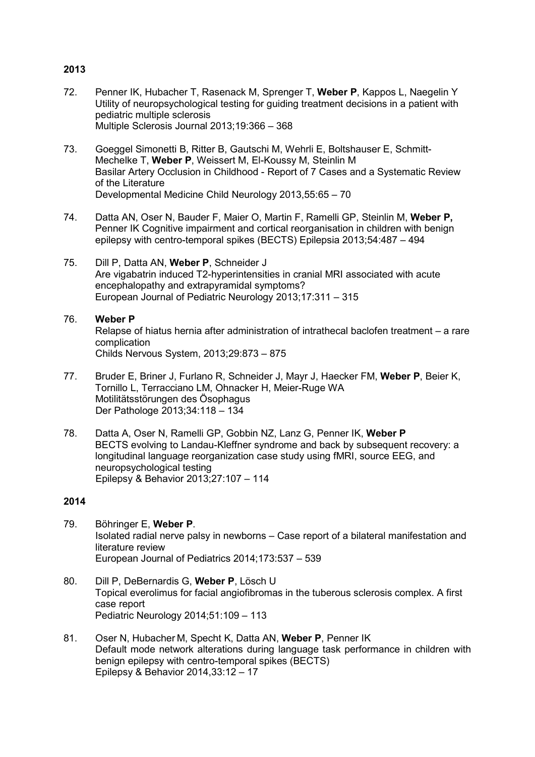- 72. Penner IK, Hubacher T, Rasenack M, Sprenger T, Weber P, Kappos L, Naegelin Y Utility of neuropsychological testing for guiding treatment decisions in a patient with pediatric multiple sclerosis Multiple Sclerosis Journal 2013;19:366 – 368
- 73. Goeggel Simonetti B, Ritter B, Gautschi M, Wehrli E, Boltshauser E, Schmitt-Mechelke T, Weber P, Weissert M, El-Koussy M, Steinlin M Basilar Artery Occlusion in Childhood - Report of 7 Cases and a Systematic Review of the Literature Developmental Medicine Child Neurology 2013,55:65 – 70
- 74. Datta AN, Oser N, Bauder F, Maier O, Martin F, Ramelli GP, Steinlin M, Weber P, Penner IK Cognitive impairment and cortical reorganisation in children with benign epilepsy with centro-temporal spikes (BECTS) Epilepsia 2013;54:487 – 494
- 75. Dill P, Datta AN, Weber P, Schneider J Are vigabatrin induced T2-hyperintensities in cranial MRI associated with acute encephalopathy and extrapyramidal symptoms? European Journal of Pediatric Neurology 2013;17:311 – 315

### 76. Weber P

Relapse of hiatus hernia after administration of intrathecal baclofen treatment – a rare complication

Childs Nervous System, 2013;29:873 – 875

- 77. Bruder E, Briner J, Furlano R, Schneider J, Mayr J, Haecker FM, Weber P, Beier K, Tornillo L, Terracciano LM, Ohnacker H, Meier-Ruge WA Motilitätsstörungen des Ösophagus Der Pathologe 2013;34:118 – 134
- 78. Datta A, Oser N, Ramelli GP, Gobbin NZ, Lanz G, Penner IK, Weber P BECTS evolving to Landau-Kleffner syndrome and back by subsequent recovery: a longitudinal language reorganization case study using fMRI, source EEG, and neuropsychological testing Epilepsy & Behavior 2013;27:107 – 114

- 79. Böhringer E, Weber P. Isolated radial nerve palsy in newborns – Case report of a bilateral manifestation and literature review European Journal of Pediatrics 2014;173:537 – 539
- 80. Dill P, DeBernardis G, Weber P, Lösch U Topical everolimus for facial angiofibromas in the tuberous sclerosis complex. A first case report Pediatric Neurology 2014;51:109 – 113
- 81. Oser N, Hubacher M, Specht K, Datta AN, Weber P, Penner IK Default mode network alterations during language task performance in children with benign epilepsy with centro-temporal spikes (BECTS) Epilepsy & Behavior 2014,33:12 – 17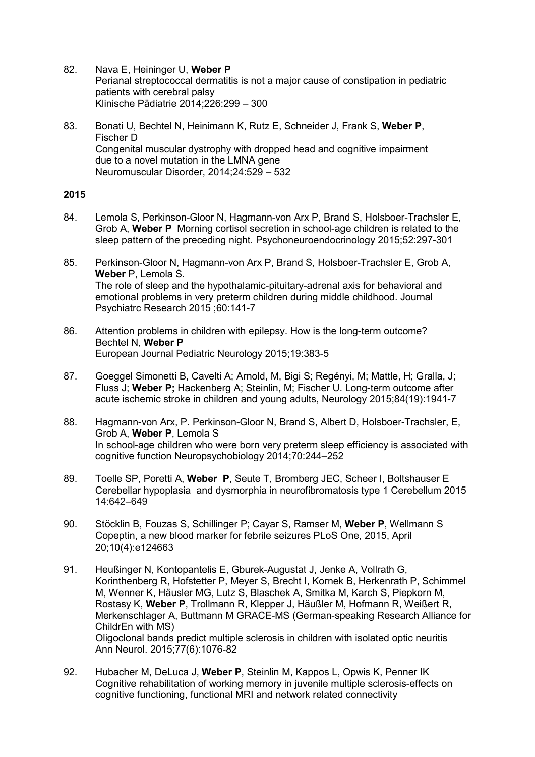82. Nava E, Heininger U, Weber P

Perianal streptococcal dermatitis is not a major cause of constipation in pediatric patients with cerebral palsy Klinische Pädiatrie 2014;226:299 – 300

83. Bonati U, Bechtel N, Heinimann K, Rutz E, Schneider J, Frank S, Weber P, Fischer D Congenital muscular dystrophy with dropped head and cognitive impairment due to a novel mutation in the LMNA gene Neuromuscular Disorder, 2014;24:529 – 532

- 84. Lemola S, Perkinson-Gloor N, Hagmann-von Arx P, Brand S, Holsboer-Trachsler E, Grob A, Weber P Morning cortisol secretion in school-age children is related to the sleep pattern of the preceding night. Psychoneuroendocrinology 2015;52:297-301
- 85. Perkinson-Gloor N, Hagmann-von Arx P, Brand S, Holsboer-Trachsler E, Grob A, Weber P, Lemola S. The role of sleep and the hypothalamic-pituitary-adrenal axis for behavioral and emotional problems in very preterm children during middle childhood. Journal Psychiatrc Research 2015 ;60:141-7
- 86. Attention problems in children with epilepsy. How is the long-term outcome? Bechtel N, Weber P European Journal Pediatric Neurology 2015;19:383-5
- 87. Goeggel Simonetti B, Cavelti A; Arnold, M, Bigi S; Regényi, M; Mattle, H; Gralla, J; Fluss J; Weber P; Hackenberg A; Steinlin, M; Fischer U. Long-term outcome after acute ischemic stroke in children and young adults, Neurology 2015;84(19):1941-7
- 88. Hagmann-von Arx, P. Perkinson-Gloor N, Brand S, Albert D, Holsboer-Trachsler, E, Grob A, Weber P, Lemola S In school-age children who were born very preterm sleep efficiency is associated with cognitive function Neuropsychobiology 2014;70:244–252
- 89. Toelle SP, Poretti A, Weber P, Seute T, Bromberg JEC, Scheer I, Boltshauser E Cerebellar hypoplasia and dysmorphia in neurofibromatosis type 1 Cerebellum 2015 14:642–649
- 90. Stöcklin B, Fouzas S, Schillinger P; Cayar S, Ramser M, Weber P, Wellmann S Copeptin, a new blood marker for febrile seizures PLoS One, 2015, April 20;10(4):e124663
- 91. Heußinger N, Kontopantelis E, Gburek-Augustat J, Jenke A, Vollrath G, Korinthenberg R, Hofstetter P, Meyer S, Brecht I, Kornek B, Herkenrath P, Schimmel M, Wenner K, Häusler MG, Lutz S, Blaschek A, Smitka M, Karch S, Piepkorn M, Rostasy K, Weber P, Trollmann R, Klepper J, Häußler M, Hofmann R, Weißert R, Merkenschlager A, Buttmann M GRACE-MS (German-speaking Research Alliance for ChildrEn with MS) Oligoclonal bands predict multiple sclerosis in children with isolated optic neuritis Ann Neurol. 2015;77(6):1076-82
- 92. Hubacher M, DeLuca J, Weber P, Steinlin M, Kappos L, Opwis K, Penner IK Cognitive rehabilitation of working memory in juvenile multiple sclerosis-effects on cognitive functioning, functional MRI and network related connectivity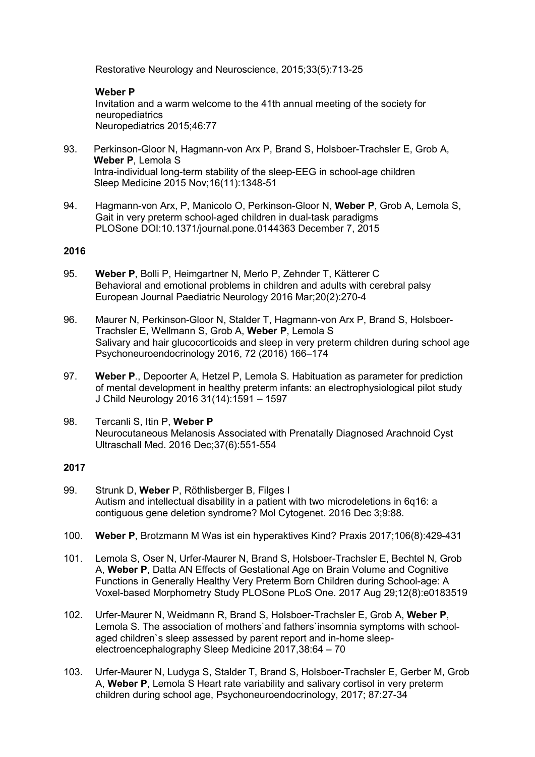Restorative Neurology and Neuroscience, 2015;33(5):713-25

#### Weber P Invitation and a warm welcome to the 41th annual meeting of the society for neuropediatrics Neuropediatrics 2015;46:77

- 93. Perkinson-Gloor N, Hagmann-von Arx P, Brand S, Holsboer-Trachsler E, Grob A, Weber P. Lemola S Intra-individual long-term stability of the sleep-EEG in school-age children Sleep Medicine 2015 Nov;16(11):1348-51
- 94. Hagmann-von Arx, P, Manicolo O, Perkinson-Gloor N, Weber P, Grob A, Lemola S, Gait in very preterm school-aged children in dual-task paradigms PLOSone DOI:10.1371/journal.pone.0144363 December 7, 2015

# 2016

- 95. Weber P, Bolli P, Heimgartner N, Merlo P, Zehnder T, Kätterer C Behavioral and emotional problems in children and adults with cerebral palsy European Journal Paediatric Neurology 2016 Mar;20(2):270-4
- 96. Maurer N, Perkinson-Gloor N, Stalder T, Hagmann-von Arx P, Brand S, Holsboer- Trachsler E, Wellmann S, Grob A, Weber P, Lemola S Salivary and hair glucocorticoids and sleep in very preterm children during school age Psychoneuroendocrinology 2016, 72 (2016) 166–174
- 97. Weber P., Depoorter A, Hetzel P, Lemola S. Habituation as parameter for prediction of mental development in healthy preterm infants: an electrophysiological pilot study J Child Neurology 2016 31(14):1591 – 1597
- 98. Tercanli S, Itin P, Weber P Neurocutaneous Melanosis Associated with Prenatally Diagnosed Arachnoid Cyst Ultraschall Med. 2016 Dec;37(6):551-554

- 99. Strunk D. Weber P. Röthlisberger B. Filges I Autism and intellectual disability in a patient with two microdeletions in 6q16: a contiguous gene deletion syndrome? Mol Cytogenet. 2016 Dec 3;9:88.
- 100. Weber P, Brotzmann M Was ist ein hyperaktives Kind? Praxis 2017;106(8):429-431
- 101. Lemola S, Oser N, Urfer-Maurer N, Brand S, Holsboer-Trachsler E, Bechtel N, Grob A, Weber P, Datta AN Effects of Gestational Age on Brain Volume and Cognitive Functions in Generally Healthy Very Preterm Born Children during School-age: A Voxel-based Morphometry Study PLOSone PLoS One. 2017 Aug 29;12(8):e0183519
- 102. Urfer-Maurer N, Weidmann R, Brand S, Holsboer-Trachsler E, Grob A, Weber P, Lemola S. The association of mothers' and fathers' insomnia symptoms with school aged children`s sleep assessed by parent report and in-home sleep electroencephalography Sleep Medicine 2017,38:64 – 70
- 103. Urfer-Maurer N, Ludyga S, Stalder T, Brand S, Holsboer-Trachsler E, Gerber M, Grob A, Weber P, Lemola S Heart rate variability and salivary cortisol in very preterm children during school age, Psychoneuroendocrinology, 2017; 87:27-34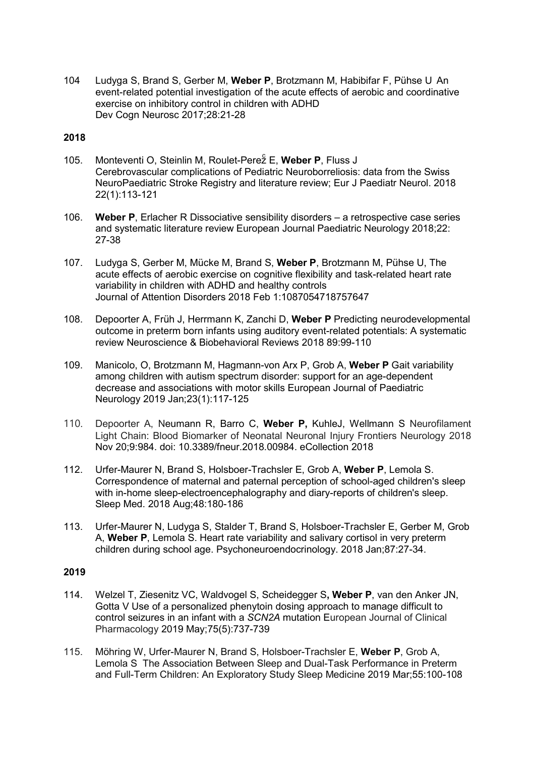104 Ludyga S, Brand S, Gerber M, Weber P, Brotzmann M, Habibifar F, Pühse U An event-related potential investigation of the acute effects of aerobic and coordinative exercise on inhibitory control in children with ADHD Dev Cogn Neurosc 2017;28:21-28

### 2018

- 105. Monteventi O, Steinlin M, Roulet-Pere $\frac{1}{2}$  E, Weber P, Fluss J Cerebrovascular complications of Pediatric Neuroborreliosis: data from the Swiss NeuroPaediatric Stroke Registry and literature review; Eur J Paediatr Neurol. 2018 22(1):113-121
- 106. Weber P, Erlacher R Dissociative sensibility disorders a retrospective case series and systematic literature review European Journal Paediatric Neurology 2018;22: 27-38
- 107. Ludyga S, Gerber M, Mücke M, Brand S, Weber P, Brotzmann M, Pühse U, The acute effects of aerobic exercise on cognitive flexibility and task-related heart rate variability in children with ADHD and healthy controls Journal of Attention Disorders 2018 Feb 1:1087054718757647
- 108. Depoorter A, Früh J, Herrmann K, Zanchi D, Weber P Predicting neurodevelopmental outcome in preterm born infants using auditory event-related potentials: A systematic review Neuroscience & Biobehavioral Reviews 2018 89:99-110
- 109. Manicolo, O, Brotzmann M, Hagmann-von Arx P, Grob A, Weber P Gait variability among children with autism spectrum disorder: support for an age-dependent decrease and associations with motor skills European Journal of Paediatric Neurology 2019 Jan;23(1):117-125
- 110. Depoorter A, Neumann R, Barro C, Weber P, KuhleJ, Wellmann S Neurofilament Light Chain: Blood Biomarker of Neonatal Neuronal Injury Frontiers Neurology 2018 Nov 20;9:984. doi: 10.3389/fneur.2018.00984. eCollection 2018
- 112. Urfer-Maurer N, Brand S, Holsboer-Trachsler E, Grob A, Weber P, Lemola S. Correspondence of maternal and paternal perception of school-aged children's sleep with in-home sleep-electroencephalography and diary-reports of children's sleep. Sleep Med. 2018 Aug;48:180-186
- 113. Urfer-Maurer N, Ludyga S, Stalder T, Brand S, Holsboer-Trachsler E, Gerber M, Grob A, Weber P, Lemola S. Heart rate variability and salivary cortisol in very preterm children during school age. Psychoneuroendocrinology. 2018 Jan;87:27-34.

- 114. Welzel T, Ziesenitz VC, Waldvogel S, Scheidegger S, Weber P, van den Anker JN, Gotta V Use of a personalized phenytoin dosing approach to manage difficult to control seizures in an infant with a SCN2A mutation European Journal of Clinical Pharmacology 2019 May;75(5):737-739
- 115. Möhring W, Urfer-Maurer N, Brand S, Holsboer-Trachsler E, Weber P, Grob A, Lemola S The Association Between Sleep and Dual-Task Performance in Preterm and Full-Term Children: An Exploratory Study Sleep Medicine 2019 Mar;55:100-108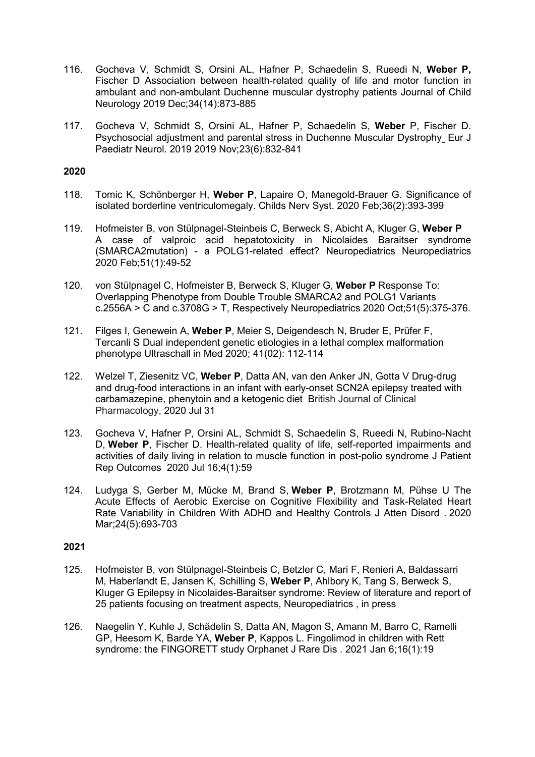- 116. Gocheva V, Schmidt S, Orsini AL, Hafner P, Schaedelin S, Rueedi N, Weber P, Fischer D Association between health-related quality of life and motor function in ambulant and non-ambulant Duchenne muscular dystrophy patients Journal of Child Neurology 2019 Dec;34(14):873-885
- 117. Gocheva V, Schmidt S, Orsini AL, Hafner P, Schaedelin S, Weber P, Fischer D. Psychosocial adjustment and parental stress in Duchenne Muscular Dystrophy Eur J Paediatr Neurol. 2019 2019 Nov;23(6):832-841

- 118. Tomic K, Schönberger H, Weber P, Lapaire O, Manegold-Brauer G. Significance of isolated borderline ventriculomegaly. Childs Nerv Syst. 2020 Feb;36(2):393-399
- 119. Hofmeister B, von Stülpnagel-Steinbeis C, Berweck S, Abicht A, Kluger G, Weber P A case of valproic acid hepatotoxicity in Nicolaides Baraitser syndrome (SMARCA2mutation) - a POLG1-related effect? Neuropediatrics Neuropediatrics 2020 Feb;51(1):49-52
- 120. von Stülpnagel C, Hofmeister B, Berweck S, Kluger G, Weber P Response To: Overlapping Phenotype from Double Trouble SMARCA2 and POLG1 Variants c.2556A > C and c.3708G > T, Respectively Neuropediatrics 2020 Oct;51(5):375-376.
- 121. Filges I, Genewein A, Weber P, Meier S, Deigendesch N, Bruder E, Prüfer F, Tercanli S Dual independent genetic etiologies in a lethal complex malformation phenotype Ultraschall in Med 2020; 41(02): 112-114
- 122. Welzel T, Ziesenitz VC, Weber P, Datta AN, van den Anker JN, Gotta V Drug-drug and drug-food interactions in an infant with early-onset SCN2A epilepsy treated with carbamazepine, phenytoin and a ketogenic diet British Journal of Clinical Pharmacology, 2020 Jul 31
- 123. Gocheva V, Hafner P, Orsini AL, Schmidt S, Schaedelin S, Rueedi N, Rubino-Nacht D, Weber P, Fischer D. Health-related quality of life, self-reported impairments and activities of daily living in relation to muscle function in post-polio syndrome J Patient Rep Outcomes 2020 Jul 16;4(1):59
- 124. Ludyga S, Gerber M, Mücke M, Brand S, Weber P, Brotzmann M, Pühse U The Acute Effects of Aerobic Exercise on Cognitive Flexibility and Task-Related Heart Rate Variability in Children With ADHD and Healthy Controls J Atten Disord . 2020 Mar;24(5):693-703

- 125. Hofmeister B, von Stülpnagel-Steinbeis C, Betzler C, Mari F, Renieri A, Baldassarri M, Haberlandt E, Jansen K, Schilling S, Weber P, Ahlbory K, Tang S, Berweck S, Kluger G Epilepsy in Nicolaides-Baraitser syndrome: Review of literature and report of 25 patients focusing on treatment aspects, Neuropediatrics , in press
- 126. Naegelin Y, Kuhle J, Schädelin S, Datta AN, Magon S, Amann M, Barro C, Ramelli GP, Heesom K, Barde YA, Weber P, Kappos L. Fingolimod in children with Rett syndrome: the FINGORETT study Orphanet J Rare Dis . 2021 Jan 6;16(1):19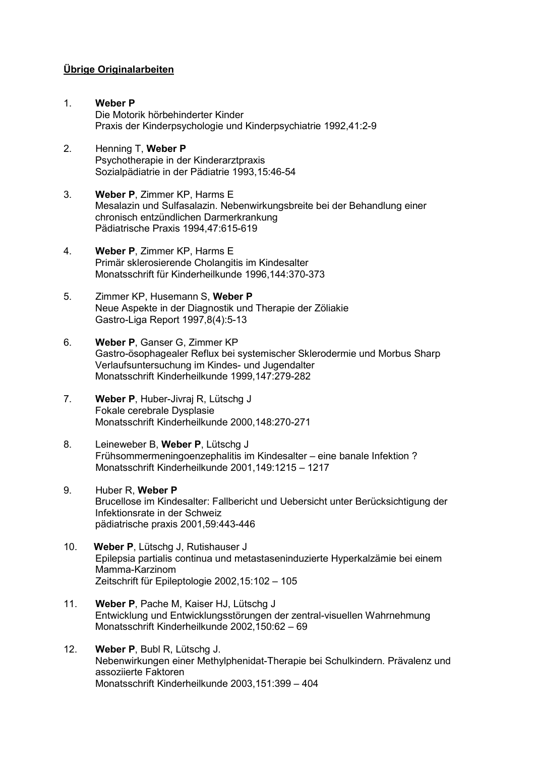# Übrige Originalarbeiten

- 1. Weber P Die Motorik hörbehinderter Kinder Praxis der Kinderpsychologie und Kinderpsychiatrie 1992,41:2-9
- 2. Henning T, Weber P Psychotherapie in der Kinderarztpraxis Sozialpädiatrie in der Pädiatrie 1993,15:46-54
- 3. Weber P, Zimmer KP, Harms E Mesalazin und Sulfasalazin. Nebenwirkungsbreite bei der Behandlung einer chronisch entzündlichen Darmerkrankung Pädiatrische Praxis 1994,47:615-619
- 4. Weber P, Zimmer KP, Harms E Primär sklerosierende Cholangitis im Kindesalter Monatsschrift für Kinderheilkunde 1996,144:370-373
- 5. Zimmer KP, Husemann S, Weber P Neue Aspekte in der Diagnostik und Therapie der Zöliakie Gastro-Liga Report 1997,8(4):5-13
- 6. Weber P, Ganser G, Zimmer KP Gastro-ösophagealer Reflux bei systemischer Sklerodermie und Morbus Sharp Verlaufsuntersuchung im Kindes- und Jugendalter Monatsschrift Kinderheilkunde 1999,147:279-282
- 7. Weber P, Huber-Jivraj R, Lütschg J Fokale cerebrale Dysplasie Monatsschrift Kinderheilkunde 2000,148:270-271
- 8. Leineweber B, Weber P, Lütschg J Frühsommermeningoenzephalitis im Kindesalter – eine banale Infektion ? Monatsschrift Kinderheilkunde 2001,149:1215 – 1217
- 9. Huber R, Weber P Brucellose im Kindesalter: Fallbericht und Uebersicht unter Berücksichtigung der Infektionsrate in der Schweiz pädiatrische praxis 2001,59:443-446
- 10. Weber P, Lütschg J, Rutishauser J Epilepsia partialis continua und metastaseninduzierte Hyperkalzämie bei einem Mamma-Karzinom Zeitschrift für Epileptologie 2002,15:102 – 105
- 11. Weber P, Pache M, Kaiser HJ, Lütschg J Entwicklung und Entwicklungsstörungen der zentral-visuellen Wahrnehmung Monatsschrift Kinderheilkunde 2002,150:62 – 69
- 12. Weber P, Bubl R, Lütschg J. Nebenwirkungen einer Methylphenidat-Therapie bei Schulkindern. Prävalenz und assoziierte Faktoren Monatsschrift Kinderheilkunde 2003,151:399 – 404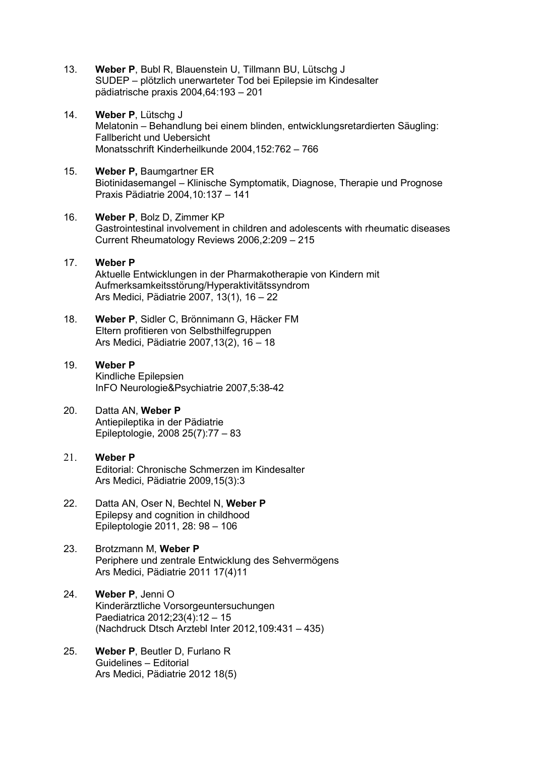- 13. Weber P, Bubl R, Blauenstein U, Tillmann BU, Lütschg J SUDEP – plötzlich unerwarteter Tod bei Epilepsie im Kindesalter pädiatrische praxis 2004,64:193 – 201
- 14. Weber P. Lütscha J Melatonin – Behandlung bei einem blinden, entwicklungsretardierten Säugling: Fallbericht und Uebersicht Monatsschrift Kinderheilkunde 2004,152:762 – 766
- 15. Weber P, Baumgartner ER Biotinidasemangel – Klinische Symptomatik, Diagnose, Therapie und Prognose Praxis Pädiatrie 2004,10:137 – 141
- 16. Weber P. Bolz D. Zimmer KP Gastrointestinal involvement in children and adolescents with rheumatic diseases Current Rheumatology Reviews 2006,2:209 – 215
- 17. Weber P Aktuelle Entwicklungen in der Pharmakotherapie von Kindern mit Aufmerksamkeitsstörung/Hyperaktivitätssyndrom Ars Medici, Pädiatrie 2007, 13(1), 16 – 22
- 18. Weber P, Sidler C, Brönnimann G, Häcker FM Eltern profitieren von Selbsthilfegruppen Ars Medici, Pädiatrie 2007,13(2), 16 – 18

# 19. Weber P Kindliche Epilepsien InFO Neurologie&Psychiatrie 2007,5:38-42

- 20. Datta AN, Weber P Antiepileptika in der Pädiatrie Epileptologie, 2008 25(7):77 – 83
- 21. Weber P Editorial: Chronische Schmerzen im Kindesalter Ars Medici, Pädiatrie 2009,15(3):3
- 22. Datta AN, Oser N, Bechtel N, Weber P Epilepsy and cognition in childhood Epileptologie 2011, 28: 98 – 106
- 23. Brotzmann M, Weber P Periphere und zentrale Entwicklung des Sehvermögens Ars Medici, Pädiatrie 2011 17(4)11
- 24. Weber P, Jenni O Kinderärztliche Vorsorgeuntersuchungen Paediatrica 2012;23(4):12 – 15 (Nachdruck Dtsch Arztebl Inter 2012,109:431 – 435)
- 25. Weber P, Beutler D, Furlano R Guidelines – Editorial Ars Medici, Pädiatrie 2012 18(5)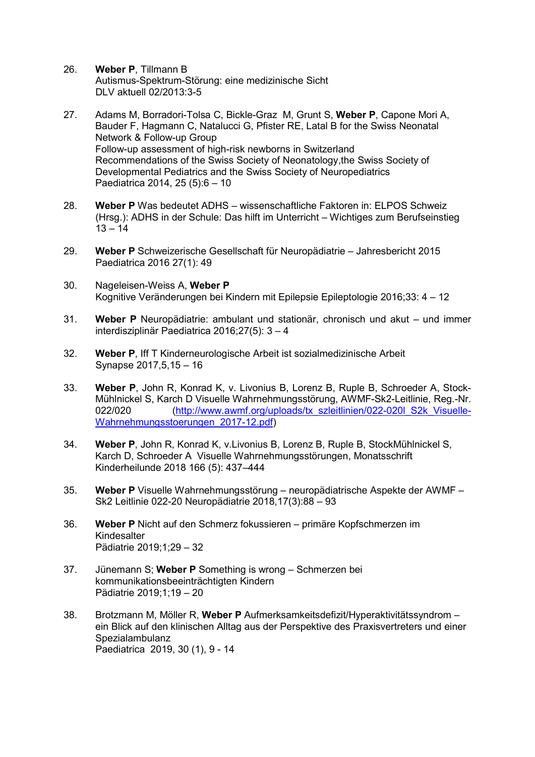- 26. Weber P, Tillmann B Autismus-Spektrum-Störung: eine medizinische Sicht DLV aktuell 02/2013:3-5
- 27. Adams M, Borradori-Tolsa C, Bickle-Graz M, Grunt S, Weber P, Capone Mori A, Bauder F, Hagmann C, Natalucci G, Pfister RE, Latal B for the Swiss Neonatal Network & Follow-up Group Follow-up assessment of high-risk newborns in Switzerland Recommendations of the Swiss Society of Neonatology,the Swiss Society of Developmental Pediatrics and the Swiss Society of Neuropediatrics Paediatrica 2014, 25 (5):6 – 10
- 28. Weber P Was bedeutet ADHS wissenschaftliche Faktoren in: ELPOS Schweiz (Hrsg.): ADHS in der Schule: Das hilft im Unterricht – Wichtiges zum Berufseinstieg  $13 - 14$
- 29. Weber P Schweizerische Gesellschaft für Neuropädiatrie Jahresbericht 2015 Paediatrica 2016 27(1): 49
- 30. Nageleisen-Weiss A, Weber P Kognitive Veränderungen bei Kindern mit Epilepsie Epileptologie 2016;33: 4 – 12
- 31. Weber P Neuropädiatrie: ambulant und stationär, chronisch und akut und immer interdisziplinär Paediatrica 2016;27(5): 3 – 4
- 32. Weber P, Iff T Kinderneurologische Arbeit ist sozialmedizinische Arbeit Synapse 2017,5,15 – 16
- 33. Weber P, John R, Konrad K, v. Livonius B, Lorenz B, Ruple B, Schroeder A, Stock-Mühlnickel S, Karch D Visuelle Wahrnehmungsstörung, AWMF-Sk2-Leitlinie, Reg.-Nr. 022/020 (http://www.awmf.org/uploads/tx\_szleitlinien/022-020l\_S2k\_Visuelle-Wahrnehmungsstoerungen\_2017-12.pdf)
- 34. Weber P, John R, Konrad K, v.Livonius B, Lorenz B, Ruple B, StockMühlnickel S, Karch D, Schroeder A Visuelle Wahrnehmungsstörungen, Monatsschrift Kinderheilunde 2018 166 (5): 437–444
- 35. Weber P Visuelle Wahrnehmungsstörung neuropädiatrische Aspekte der AWMF Sk2 Leitlinie 022-20 Neuropädiatrie 2018,17(3):88 – 93
- 36. Weber P Nicht auf den Schmerz fokussieren primäre Kopfschmerzen im Kindesalter Pädiatrie 2019;1;29 – 32
- 37. Jünemann S; Weber P Something is wrong Schmerzen bei kommunikationsbeeinträchtigten Kindern Pädiatrie 2019;1;19 – 20
- 38. Brotzmann M, Möller R, Weber P Aufmerksamkeitsdefizit/Hyperaktivitätssyndrom ein Blick auf den klinischen Alltag aus der Perspektive des Praxisvertreters und einer Spezialambulanz Paediatrica 2019, 30 (1), 9 - 14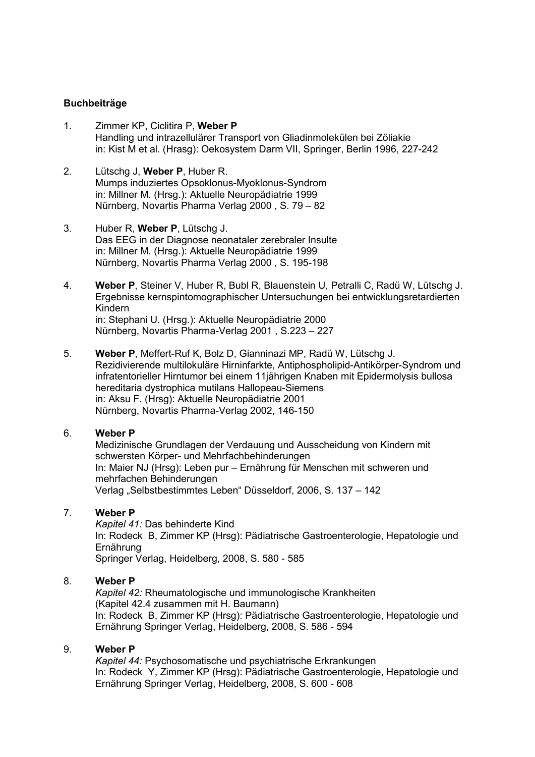#### Buchbeiträge

- 1. Zimmer KP, Ciclitira P, Weber P Handling und intrazellulärer Transport von Gliadinmolekülen bei Zöliakie in: Kist M et al. (Hrasg): Oekosystem Darm VII, Springer, Berlin 1996, 227-242
- 2. Lütschg J, Weber P, Huber R. Mumps induziertes Opsoklonus-Myoklonus-Syndrom in: Millner M. (Hrsg.): Aktuelle Neuropädiatrie 1999 Nürnberg, Novartis Pharma Verlag 2000 , S. 79 – 82
- 3. Huber R, Weber P, Lütschg J. Das EEG in der Diagnose neonataler zerebraler Insulte in: Millner M. (Hrsg.): Aktuelle Neuropädiatrie 1999 Nürnberg, Novartis Pharma Verlag 2000 , S. 195-198
- 4. Weber P, Steiner V, Huber R, Bubl R, Blauenstein U, Petralli C, Radü W, Lütschg J. Ergebnisse kernspintomographischer Untersuchungen bei entwicklungsretardierten Kindern in: Stephani U. (Hrsg.): Aktuelle Neuropädiatrie 2000 Nürnberg, Novartis Pharma-Verlag 2001 , S.223 – 227
- 5. Weber P, Meffert-Ruf K, Bolz D, Gianninazi MP, Radü W, Lütschg J. Rezidivierende multilokuläre Hirninfarkte, Antiphospholipid-Antikörper-Syndrom und infratentorieller Hirntumor bei einem 11jährigen Knaben mit Epidermolysis bullosa hereditaria dystrophica mutilans Hallopeau-Siemens in: Aksu F. (Hrsg): Aktuelle Neuropädiatrie 2001 Nürnberg, Novartis Pharma-Verlag 2002, 146-150

### 6. Weber P

Medizinische Grundlagen der Verdauung und Ausscheidung von Kindern mit schwersten Körper- und Mehrfachbehinderungen In: Maier NJ (Hrsg): Leben pur – Ernährung für Menschen mit schweren und mehrfachen Behinderungen Verlag "Selbstbestimmtes Leben" Düsseldorf, 2006, S. 137 – 142

#### 7. Weber P

Kapitel 41: Das behinderte Kind In: Rodeck B, Zimmer KP (Hrsg): Pädiatrische Gastroenterologie, Hepatologie und Ernährung Springer Verlag, Heidelberg, 2008, S. 580 - 585

#### 8. Weber P

Kapitel 42: Rheumatologische und immunologische Krankheiten (Kapitel 42.4 zusammen mit H. Baumann) In: Rodeck B, Zimmer KP (Hrsg): Pädiatrische Gastroenterologie, Hepatologie und Ernährung Springer Verlag, Heidelberg, 2008, S. 586 - 594

#### 9. Weber P

Kapitel 44: Psychosomatische und psychiatrische Erkrankungen In: Rodeck Y, Zimmer KP (Hrsg): Pädiatrische Gastroenterologie, Hepatologie und Ernährung Springer Verlag, Heidelberg, 2008, S. 600 - 608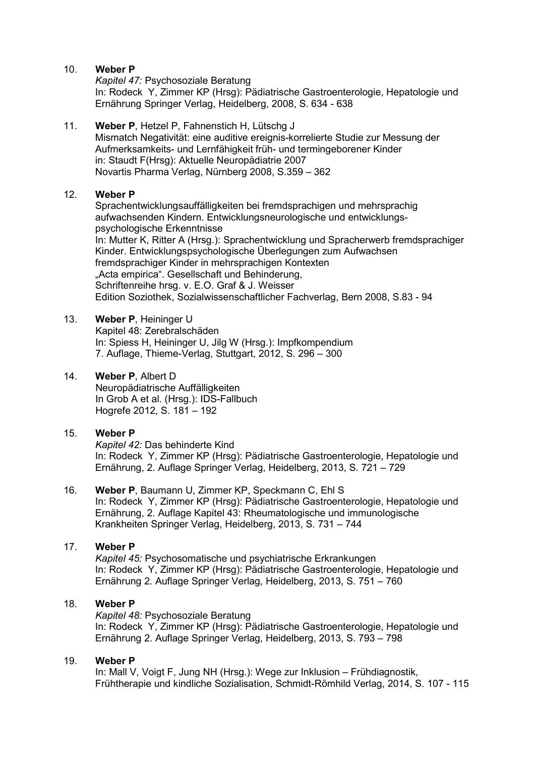#### 10. Weber P

Kapitel 47: Psychosoziale Beratung In: Rodeck Y, Zimmer KP (Hrsg): Pädiatrische Gastroenterologie, Hepatologie und Ernährung Springer Verlag, Heidelberg, 2008, S. 634 - 638

# 11. Weber P, Hetzel P, Fahnenstich H, Lütschg J

Mismatch Negativität: eine auditive ereignis-korrelierte Studie zur Messung der Aufmerksamkeits- und Lernfähigkeit früh- und termingeborener Kinder in: Staudt F(Hrsg): Aktuelle Neuropädiatrie 2007 Novartis Pharma Verlag, Nürnberg 2008, S.359 – 362

# 12. Weber P

Sprachentwicklungsauffälligkeiten bei fremdsprachigen und mehrsprachig aufwachsenden Kindern. Entwicklungsneurologische und entwicklungspsychologische Erkenntnisse In: Mutter K, Ritter A (Hrsg.): Sprachentwicklung und Spracherwerb fremdsprachiger Kinder. Entwicklungspsychologische Überlegungen zum Aufwachsen fremdsprachiger Kinder in mehrsprachigen Kontexten "Acta empirica". Gesellschaft und Behinderung, Schriftenreihe hrsg. v. E.O. Graf & J. Weisser Edition Soziothek, Sozialwissenschaftlicher Fachverlag, Bern 2008, S.83 - 94

# 13. Weber P, Heininger U

 Kapitel 48: Zerebralschäden In: Spiess H, Heininger U, Jilg W (Hrsg.): Impfkompendium 7. Auflage, Thieme-Verlag, Stuttgart, 2012, S. 296 – 300

#### 14. Weber P, Albert D

 Neuropädiatrische Auffälligkeiten In Grob A et al. (Hrsg.): IDS-Fallbuch Hogrefe 2012, S. 181 – 192

### 15. Weber P

Kapitel 42: Das behinderte Kind In: Rodeck Y, Zimmer KP (Hrsg): Pädiatrische Gastroenterologie, Hepatologie und Ernährung, 2. Auflage Springer Verlag, Heidelberg, 2013, S. 721 – 729

#### 16. Weber P, Baumann U, Zimmer KP, Speckmann C, Ehl S In: Rodeck Y, Zimmer KP (Hrsg): Pädiatrische Gastroenterologie, Hepatologie und Ernährung, 2. Auflage Kapitel 43: Rheumatologische und immunologische Krankheiten Springer Verlag, Heidelberg, 2013, S. 731 – 744

### 17. Weber P

Kapitel 45: Psychosomatische und psychiatrische Erkrankungen In: Rodeck Y, Zimmer KP (Hrsg): Pädiatrische Gastroenterologie, Hepatologie und Ernährung 2. Auflage Springer Verlag, Heidelberg, 2013, S. 751 – 760

### 18. Weber P

Kapitel 48: Psychosoziale Beratung In: Rodeck Y, Zimmer KP (Hrsg): Pädiatrische Gastroenterologie, Hepatologie und Ernährung 2. Auflage Springer Verlag, Heidelberg, 2013, S. 793 – 798

#### 19. Weber P

In: Mall V, Voigt F, Jung NH (Hrsg.): Wege zur Inklusion – Frühdiagnostik, Frühtherapie und kindliche Sozialisation, Schmidt-Römhild Verlag, 2014, S. 107 - 115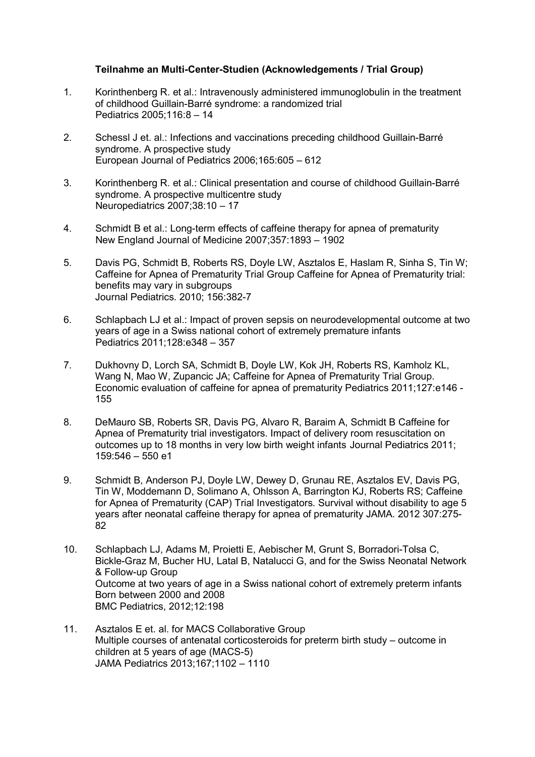# Teilnahme an Multi-Center-Studien (Acknowledgements / Trial Group)

- 1. Korinthenberg R. et al.: Intravenously administered immunoglobulin in the treatment of childhood Guillain-Barré syndrome: a randomized trial Pediatrics 2005;116:8 – 14
- 2. Schessl J et. al.: Infections and vaccinations preceding childhood Guillain-Barré syndrome. A prospective study European Journal of Pediatrics 2006;165:605 – 612
- 3. Korinthenberg R. et al.: Clinical presentation and course of childhood Guillain-Barré syndrome. A prospective multicentre study Neuropediatrics 2007;38:10 – 17
- 4. Schmidt B et al.: Long-term effects of caffeine therapy for apnea of prematurity New England Journal of Medicine 2007;357:1893 – 1902
- 5. Davis PG, Schmidt B, Roberts RS, Doyle LW, Asztalos E, Haslam R, Sinha S, Tin W; Caffeine for Apnea of Prematurity Trial Group Caffeine for Apnea of Prematurity trial: benefits may vary in subgroups Journal Pediatrics. 2010; 156:382-7
- 6. Schlapbach LJ et al.: Impact of proven sepsis on neurodevelopmental outcome at two years of age in a Swiss national cohort of extremely premature infants Pediatrics 2011;128:e348 – 357
- 7. Dukhovny D, Lorch SA, Schmidt B, Doyle LW, Kok JH, Roberts RS, Kamholz KL, Wang N, Mao W, Zupancic JA; Caffeine for Apnea of Prematurity Trial Group. Economic evaluation of caffeine for apnea of prematurity Pediatrics 2011;127:e146 - 155
- 8. DeMauro SB, Roberts SR, Davis PG, Alvaro R, Baraim A, Schmidt B Caffeine for Apnea of Prematurity trial investigators. Impact of delivery room resuscitation on outcomes up to 18 months in very low birth weight infants Journal Pediatrics 2011; 159:546 – 550 e1
- 9. Schmidt B, Anderson PJ, Doyle LW, Dewey D, Grunau RE, Asztalos EV, Davis PG, Tin W, Moddemann D, Solimano A, Ohlsson A, Barrington KJ, Roberts RS; Caffeine for Apnea of Prematurity (CAP) Trial Investigators. Survival without disability to age 5 years after neonatal caffeine therapy for apnea of prematurity JAMA. 2012 307:275- 82
- 10. Schlapbach LJ, Adams M, Proietti E, Aebischer M, Grunt S, Borradori-Tolsa C, Bickle-Graz M, Bucher HU, Latal B, Natalucci G, and for the Swiss Neonatal Network & Follow-up Group Outcome at two years of age in a Swiss national cohort of extremely preterm infants Born between 2000 and 2008 BMC Pediatrics, 2012;12:198
- 11. Asztalos E et. al. for MACS Collaborative Group Multiple courses of antenatal corticosteroids for preterm birth study – outcome in children at 5 years of age (MACS-5) JAMA Pediatrics 2013;167;1102 – 1110